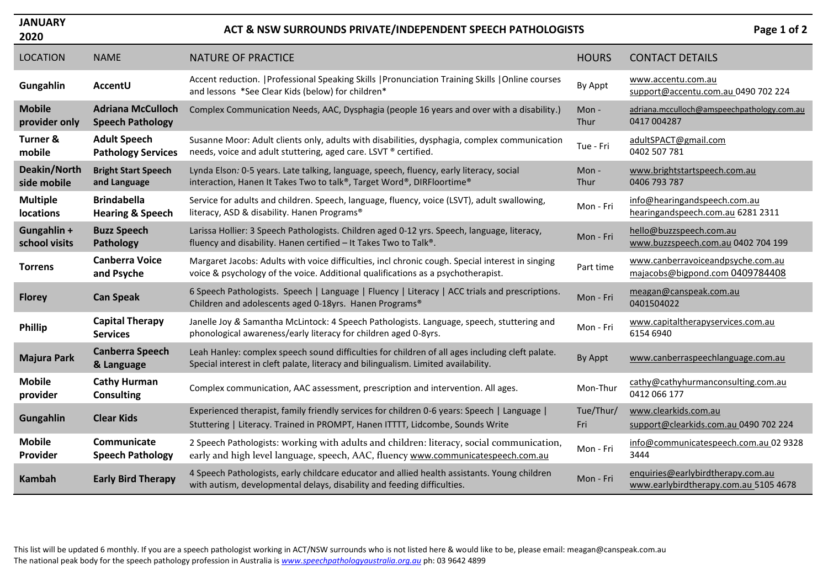| <b>JANUARY</b><br>2020              |                                                     | ACT & NSW SURROUNDS PRIVATE/INDEPENDENT SPEECH PATHOLOGISTS                                                                                                                           |                  | Page 1 of 2                                                                |
|-------------------------------------|-----------------------------------------------------|---------------------------------------------------------------------------------------------------------------------------------------------------------------------------------------|------------------|----------------------------------------------------------------------------|
| <b>LOCATION</b>                     | <b>NAME</b>                                         | <b>NATURE OF PRACTICE</b>                                                                                                                                                             | <b>HOURS</b>     | <b>CONTACT DETAILS</b>                                                     |
| Gungahlin                           | AccentU                                             | Accent reduction.   Professional Speaking Skills   Pronunciation Training Skills   Online courses<br>and lessons *See Clear Kids (below) for children*                                | By Appt          | www.accentu.com.au<br>support@accentu.com.au 0490 702 224                  |
| <b>Mobile</b><br>provider only      | <b>Adriana McCulloch</b><br><b>Speech Pathology</b> | Complex Communication Needs, AAC, Dysphagia (people 16 years and over with a disability.)                                                                                             | Mon-<br>Thur     | adriana.mcculloch@amspeechpathology.com.au<br>0417 004287                  |
| Turner &<br>mobile                  | <b>Adult Speech</b><br><b>Pathology Services</b>    | Susanne Moor: Adult clients only, adults with disabilities, dysphagia, complex communication<br>needs, voice and adult stuttering, aged care. LSVT ® certified.                       | Tue - Fri        | adultSPACT@gmail.com<br>0402 507 781                                       |
| Deakin/North<br>side mobile         | <b>Bright Start Speech</b><br>and Language          | Lynda Elson: 0-5 years. Late talking, language, speech, fluency, early literacy, social<br>interaction, Hanen It Takes Two to talk®, Target Word®, DIRFloortime®                      | Mon-<br>Thur     | www.brightstartspeech.com.au<br>0406 793 787                               |
| <b>Multiple</b><br><b>locations</b> | <b>Brindabella</b><br><b>Hearing &amp; Speech</b>   | Service for adults and children. Speech, language, fluency, voice (LSVT), adult swallowing,<br>literacy, ASD & disability. Hanen Programs®                                            | Mon - Fri        | info@hearingandspeech.com.au<br>hearingandspeech.com.au 6281 2311          |
| Gungahlin +<br>school visits        | <b>Buzz Speech</b><br>Pathology                     | Larissa Hollier: 3 Speech Pathologists. Children aged 0-12 yrs. Speech, language, literacy,<br>fluency and disability. Hanen certified - It Takes Two to Talk®.                       | Mon - Fri        | hello@buzzspeech.com.au<br>www.buzzspeech.com.au 0402 704 199              |
| <b>Torrens</b>                      | <b>Canberra Voice</b><br>and Psyche                 | Margaret Jacobs: Adults with voice difficulties, incl chronic cough. Special interest in singing<br>voice & psychology of the voice. Additional qualifications as a psychotherapist.  | Part time        | www.canberravoiceandpsyche.com.au<br>majacobs@bigpond.com 0409784408       |
| <b>Florey</b>                       | <b>Can Speak</b>                                    | 6 Speech Pathologists. Speech   Language   Fluency   Literacy   ACC trials and prescriptions.<br>Children and adolescents aged 0-18yrs. Hanen Programs®                               | Mon - Fri        | meagan@canspeak.com.au<br>0401504022                                       |
| <b>Phillip</b>                      | <b>Capital Therapy</b><br><b>Services</b>           | Janelle Joy & Samantha McLintock: 4 Speech Pathologists. Language, speech, stuttering and<br>phonological awareness/early literacy for children aged 0-8yrs.                          | Mon - Fri        | www.capitaltherapyservices.com.au<br>6154 6940                             |
| <b>Majura Park</b>                  | <b>Canberra Speech</b><br>& Language                | Leah Hanley: complex speech sound difficulties for children of all ages including cleft palate.<br>Special interest in cleft palate, literacy and bilingualism. Limited availability. | By Appt          | www.canberraspeechlanguage.com.au                                          |
| <b>Mobile</b><br>provider           | <b>Cathy Hurman</b><br><b>Consulting</b>            | Complex communication, AAC assessment, prescription and intervention. All ages.                                                                                                       | Mon-Thur         | cathy@cathyhurmanconsulting.com.au<br>0412 066 177                         |
| Gungahlin                           | <b>Clear Kids</b>                                   | Experienced therapist, family friendly services for children 0-6 years: Speech   Language  <br>Stuttering   Literacy. Trained in PROMPT, Hanen ITTTT, Lidcombe, Sounds Write          | Tue/Thur/<br>Fri | www.clearkids.com.au<br>support@clearkids.com.au 0490 702 224              |
| <b>Mobile</b><br>Provider           | Communicate<br><b>Speech Pathology</b>              | 2 Speech Pathologists: working with adults and children: literacy, social communication,<br>early and high level language, speech, AAC, fluency www.communicatespeech.com.au          | Mon - Fri        | info@communicatespeech.com.au 02 9328<br>3444                              |
| <b>Kambah</b>                       | <b>Early Bird Therapy</b>                           | 4 Speech Pathologists, early childcare educator and allied health assistants. Young children<br>with autism, developmental delays, disability and feeding difficulties.               | Mon - Fri        | enquiries@earlybirdtherapy.com.au<br>www.earlybirdtherapy.com.au 5105 4678 |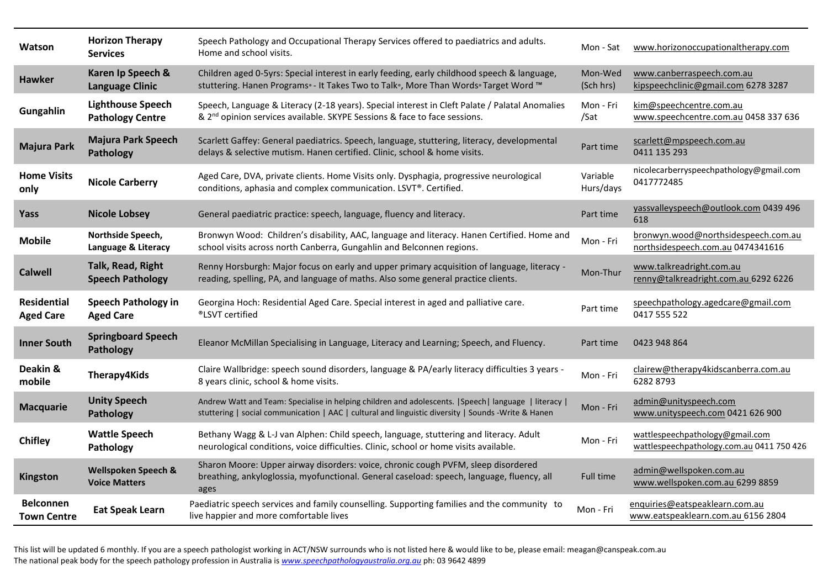| Watson                                 | <b>Horizon Therapy</b><br><b>Services</b>           | Speech Pathology and Occupational Therapy Services offered to paediatrics and adults.<br>Home and school visits.                                                                                              | Mon - Sat             | www.horizonoccupationaltherapy.com                                           |
|----------------------------------------|-----------------------------------------------------|---------------------------------------------------------------------------------------------------------------------------------------------------------------------------------------------------------------|-----------------------|------------------------------------------------------------------------------|
| <b>Hawker</b>                          | Karen Ip Speech &<br><b>Language Clinic</b>         | Children aged 0-5yrs: Special interest in early feeding, early childhood speech & language,<br>stuttering. Hanen Programs® - It Takes Two to Talk®, More Than Words® Target Word ™                            | Mon-Wed<br>(Sch hrs)  | www.canberraspeech.com.au<br>kipspeechclinic@gmail.com 6278 3287             |
| Gungahlin                              | <b>Lighthouse Speech</b><br><b>Pathology Centre</b> | Speech, Language & Literacy (2-18 years). Special interest in Cleft Palate / Palatal Anomalies<br>& 2 <sup>nd</sup> opinion services available. SKYPE Sessions & face to face sessions.                       | Mon - Fri<br>/Sat     | kim@speechcentre.com.au<br>www.speechcentre.com.au 0458 337 636              |
| <b>Majura Park</b>                     | <b>Majura Park Speech</b><br>Pathology              | Scarlett Gaffey: General paediatrics. Speech, language, stuttering, literacy, developmental<br>delays & selective mutism. Hanen certified. Clinic, school & home visits.                                      | Part time             | scarlett@mpspeech.com.au<br>0411 135 293                                     |
| <b>Home Visits</b><br>only             | <b>Nicole Carberry</b>                              | Aged Care, DVA, private clients. Home Visits only. Dysphagia, progressive neurological<br>conditions, aphasia and complex communication. LSVT®. Certified.                                                    | Variable<br>Hurs/days | nicolecarberryspeechpathology@gmail.com<br>0417772485                        |
| Yass                                   | <b>Nicole Lobsey</b>                                | General paediatric practice: speech, language, fluency and literacy.                                                                                                                                          | Part time             | yassvalleyspeech@outlook.com 0439 496<br>618                                 |
| <b>Mobile</b>                          | Northside Speech,<br>Language & Literacy            | Bronwyn Wood: Children's disability, AAC, language and literacy. Hanen Certified. Home and<br>school visits across north Canberra, Gungahlin and Belconnen regions.                                           | Mon - Fri             | bronwyn.wood@northsidespeech.com.au<br>northsidespeech.com.au 0474341616     |
| <b>Calwell</b>                         | Talk, Read, Right<br><b>Speech Pathology</b>        | Renny Horsburgh: Major focus on early and upper primary acquisition of language, literacy -<br>reading, spelling, PA, and language of maths. Also some general practice clients.                              | Mon-Thur              | www.talkreadright.com.au<br>renny@talkreadright.com.au 6292 6226             |
| <b>Residential</b><br><b>Aged Care</b> | <b>Speech Pathology in</b><br><b>Aged Care</b>      | Georgina Hoch: Residential Aged Care. Special interest in aged and palliative care.<br>®LSVT certified                                                                                                        | Part time             | speechpathology.agedcare@gmail.com<br>0417 555 522                           |
| <b>Inner South</b>                     | <b>Springboard Speech</b><br>Pathology              | Eleanor McMillan Specialising in Language, Literacy and Learning; Speech, and Fluency.                                                                                                                        | Part time             | 0423 948 864                                                                 |
| Deakin &<br>mobile                     | <b>Therapy4Kids</b>                                 | Claire Wallbridge: speech sound disorders, language & PA/early literacy difficulties 3 years -<br>8 years clinic, school & home visits.                                                                       | Mon - Fri             | clairew@therapy4kidscanberra.com.au<br>62828793                              |
| <b>Macquarie</b>                       | <b>Unity Speech</b><br>Pathology                    | Andrew Watt and Team: Specialise in helping children and adolescents.   Speech   language   literacy  <br>stuttering   social communication   AAC   cultural and linguistic diversity   Sounds -Write & Hanen | Mon - Fri             | admin@unityspeech.com<br>www.unityspeech.com 0421 626 900                    |
| <b>Chifley</b>                         | <b>Wattle Speech</b><br>Pathology                   | Bethany Wagg & L-J van Alphen: Child speech, language, stuttering and literacy. Adult<br>neurological conditions, voice difficulties. Clinic, school or home visits available.                                | Mon - Fri             | wattlespeechpathology@gmail.com<br>wattlespeechpathology.com.au 0411 750 426 |
| Kingston                               | Wellspoken Speech &<br><b>Voice Matters</b>         | Sharon Moore: Upper airway disorders: voice, chronic cough PVFM, sleep disordered<br>breathing, ankyloglossia, myofunctional. General caseload: speech, language, fluency, all<br>ages                        | Full time             | admin@wellspoken.com.au<br>www.wellspoken.com.au 6299 8859                   |
| <b>Belconnen</b><br><b>Town Centre</b> | <b>Eat Speak Learn</b>                              | Paediatric speech services and family counselling. Supporting families and the community to<br>live happier and more comfortable lives                                                                        | Mon - Fri             | enquiries@eatspeaklearn.com.au<br>www.eatspeaklearn.com.au 6156 2804         |

This list will be updated 6 monthly. If you are a speech pathologist working in ACT/NSW surrounds who is not listed here & would like to be, please email: meagan@canspeak.com.au The national peak body for the speech pathology profession in Australia is *[www.speechpathologyaustralia.org.au](http://www.speechpathologyaustralia.org.au/)* ph: 03 9642 4899